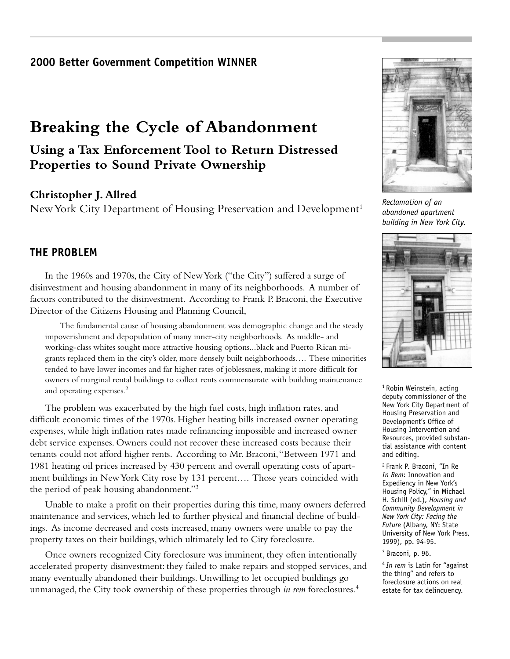## **2000 Better Government Competition WINNER**

# **Breaking the Cycle of Abandonment**

# **Using a Tax Enforcement Tool to Return Distressed Properties to Sound Private Ownership**

## **Christopher J. Allred**

New York City Department of Housing Preservation and Development<sup>1</sup>

## **THE PROBLEM**

In the 1960s and 1970s, the City of New York ("the City") suffered a surge of disinvestment and housing abandonment in many of its neighborhoods. A number of factors contributed to the disinvestment. According to Frank P. Braconi, the Executive Director of the Citizens Housing and Planning Council,

The fundamental cause of housing abandonment was demographic change and the steady impoverishment and depopulation of many inner-city neighborhoods. As middle- and working-class whites sought more attractive housing options...black and Puerto Rican migrants replaced them in the city's older, more densely built neighborhoods…. These minorities tended to have lower incomes and far higher rates of joblessness, making it more difficult for owners of marginal rental buildings to collect rents commensurate with building maintenance and operating expenses.2

The problem was exacerbated by the high fuel costs, high inflation rates, and difficult economic times of the 1970s. Higher heating bills increased owner operating expenses, while high inflation rates made refinancing impossible and increased owner debt service expenses. Owners could not recover these increased costs because their tenants could not afford higher rents. According to Mr. Braconi, "Between 1971 and 1981 heating oil prices increased by 430 percent and overall operating costs of apartment buildings in New York City rose by 131 percent…. Those years coincided with the period of peak housing abandonment."3

Unable to make a profit on their properties during this time, many owners deferred maintenance and services, which led to further physical and financial decline of buildings. As income decreased and costs increased, many owners were unable to pay the property taxes on their buildings, which ultimately led to City foreclosure.

Once owners recognized City foreclosure was imminent, they often intentionally accelerated property disinvestment: they failed to make repairs and stopped services, and many eventually abandoned their buildings. Unwilling to let occupied buildings go unmanaged, the City took ownership of these properties through *in rem* foreclosures.4



*Reclamation of an abandoned apartment building in New York City.*



<sup>1</sup> Robin Weinstein, acting deputy commissioner of the New York City Department of Housing Preservation and Development's Office of Housing Intervention and Resources, provided substantial assistance with content and editing.

2 Frank P. Braconi, "In Re *In Rem*: Innovation and Expediency in New York's Housing Policy," in Michael H. Schill (ed.), *Housing and Community Development in New York City: Facing the Future* (Albany, NY: State University of New York Press, 1999), pp. 94-95.

#### 3 Braconi, p. 96.

<sup>4</sup>*In rem* is Latin for "against the thing" and refers to foreclosure actions on real estate for tax delinquency.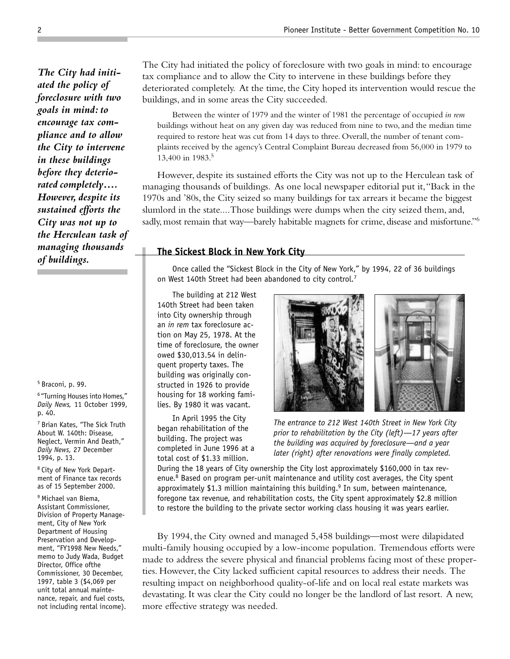*The City had initiated the policy of foreclosure with two goals in mind: to encourage tax compliance and to allow the City to intervene in these buildings before they deteriorated completely…. However, despite its sustained efforts the City was not up to the Herculean task of managing thousands of buildings.*

5 Braconi, p. 99.

6 "Turning Houses into Homes," *Daily News,* 11 October 1999, p. 40.

7 Brian Kates, "The Sick Truth About W. 140th: Disease, Neglect, Vermin And Death," *Daily News,* 27 December 1994, p. 13.

8 City of New York Department of Finance tax records as of 15 September 2000.

9 Michael van Biema, Assistant Commissioner, Division of Property Management, City of New York Department of Housing Preservation and Development, "FY1998 New Needs," memo to Judy Wada, Budget Director, Office ofthe Commissioner, 30 December, 1997, table 3 (\$4,069 per unit total annual maintenance, repair, and fuel costs, not including rental income). The City had initiated the policy of foreclosure with two goals in mind: to encourage tax compliance and to allow the City to intervene in these buildings before they deteriorated completely. At the time, the City hoped its intervention would rescue the buildings, and in some areas the City succeeded.

Between the winter of 1979 and the winter of 1981 the percentage of occupied *in rem* buildings without heat on any given day was reduced from nine to two, and the median time required to restore heat was cut from 14 days to three. Overall, the number of tenant complaints received by the agency's Central Complaint Bureau decreased from 56,000 in 1979 to 13,400 in 1983.5

However, despite its sustained efforts the City was not up to the Herculean task of managing thousands of buildings. As one local newspaper editorial put it, "Back in the 1970s and '80s, the City seized so many buildings for tax arrears it became the biggest slumlord in the state....Those buildings were dumps when the city seized them, and, sadly, most remain that way—barely habitable magnets for crime, disease and misfortune."<sup>6</sup>

## **The Sickest Block in New York City**

Once called the "Sickest Block in the City of New York," by 1994, 22 of 36 buildings on West 140th Street had been abandoned to city control.<sup>7</sup>

The building at 212 West 140th Street had been taken into City ownership through an *in rem* tax foreclosure action on May 25, 1978. At the time of foreclosure, the owner owed \$30,013.54 in delinquent property taxes. The building was originally constructed in 1926 to provide housing for 18 working families. By 1980 it was vacant.

In April 1995 the City began rehabilitation of the building. The project was completed in June 1996 at a total cost of \$1.33 million.



*The entrance to 212 West 140th Street in New York City prior to rehabilitation by the City (left)—17 years after the building was acquired by foreclosure—and a year later (right) after renovations were finally completed.*

During the 18 years of City ownership the City lost approximately \$160,000 in tax revenue.<sup>8</sup> Based on program per-unit maintenance and utility cost averages, the City spent approximately \$1.3 million maintaining this building.<sup>9</sup> In sum, between maintenance, foregone tax revenue, and rehabilitation costs, the City spent approximately \$2.8 million to restore the building to the private sector working class housing it was years earlier.

By 1994, the City owned and managed 5,458 buildings—most were dilapidated multi-family housing occupied by a low-income population. Tremendous efforts were made to address the severe physical and financial problems facing most of these properties. However, the City lacked sufficient capital resources to address their needs. The resulting impact on neighborhood quality-of-life and on local real estate markets was devastating. It was clear the City could no longer be the landlord of last resort. A new, more effective strategy was needed.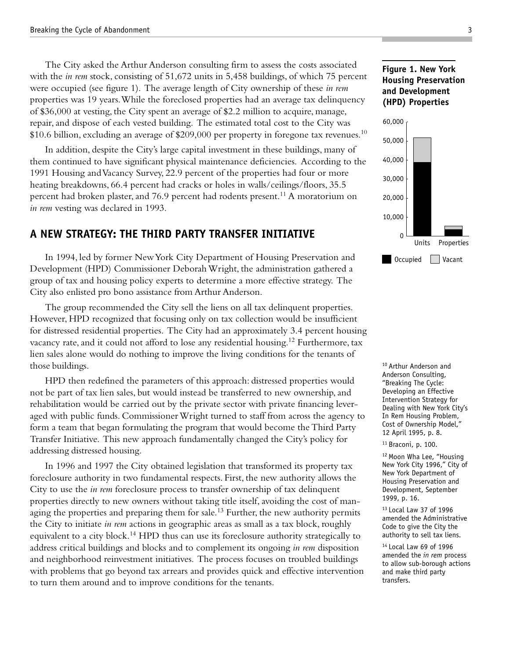The City asked the Arthur Anderson consulting firm to assess the costs associated with the *in rem* stock, consisting of 51,672 units in 5,458 buildings, of which 75 percent were occupied (see figure 1). The average length of City ownership of these *in rem* properties was 19 years. While the foreclosed properties had an average tax delinquency of \$36,000 at vesting, the City spent an average of \$2.2 million to acquire, manage, repair, and dispose of each vested building. The estimated total cost to the City was \$10.6 billion, excluding an average of \$209,000 per property in foregone tax revenues.<sup>10</sup>

In addition, despite the City's large capital investment in these buildings, many of them continued to have significant physical maintenance deficiencies. According to the 1991 Housing and Vacancy Survey, 22.9 percent of the properties had four or more heating breakdowns, 66.4 percent had cracks or holes in walls/ceilings/floors, 35.5 percent had broken plaster, and 76.9 percent had rodents present.<sup>11</sup> A moratorium on *in rem* vesting was declared in 1993.

## **A NEW STRATEGY: THE THIRD PARTY TRANSFER INITIATIVE**

In 1994, led by former New York City Department of Housing Preservation and Development (HPD) Commissioner Deborah Wright, the administration gathered a group of tax and housing policy experts to determine a more effective strategy. The City also enlisted pro bono assistance from Arthur Anderson.

The group recommended the City sell the liens on all tax delinquent properties. However, HPD recognized that focusing only on tax collection would be insufficient for distressed residential properties. The City had an approximately 3.4 percent housing vacancy rate, and it could not afford to lose any residential housing.<sup>12</sup> Furthermore, tax lien sales alone would do nothing to improve the living conditions for the tenants of those buildings.

HPD then redefined the parameters of this approach: distressed properties would not be part of tax lien sales, but would instead be transferred to new ownership, and rehabilitation would be carried out by the private sector with private financing leveraged with public funds. Commissioner Wright turned to staff from across the agency to form a team that began formulating the program that would become the Third Party Transfer Initiative. This new approach fundamentally changed the City's policy for addressing distressed housing.

In 1996 and 1997 the City obtained legislation that transformed its property tax foreclosure authority in two fundamental respects. First, the new authority allows the City to use the *in rem* foreclosure process to transfer ownership of tax delinquent properties directly to new owners without taking title itself, avoiding the cost of managing the properties and preparing them for sale.<sup>13</sup> Further, the new authority permits the City to initiate *in rem* actions in geographic areas as small as a tax block, roughly equivalent to a city block.<sup>14</sup> HPD thus can use its foreclosure authority strategically to address critical buildings and blocks and to complement its ongoing *in rem* disposition and neighborhood reinvestment initiatives. The process focuses on troubled buildings with problems that go beyond tax arrears and provides quick and effective intervention to turn them around and to improve conditions for the tenants.

## **Figure 1. New York Housing Preservation and Development (HPD) Properties**



10 Arthur Anderson and Anderson Consulting, "Breaking The Cycle: Developing an Effective Intervention Strategy for Dealing with New York City's In Rem Housing Problem, Cost of Ownership Model," 12 April 1995, p. 8.

11 Braconi, p. 100.

12 Moon Wha Lee, "Housing New York City 1996," City of New York Department of Housing Preservation and Development, September 1999, p. 16.

13 Local Law 37 of 1996 amended the Administrative Code to give the City the authority to sell tax liens.

14 Local Law 69 of 1996 amended the *in rem* process to allow sub-borough actions and make third party transfers.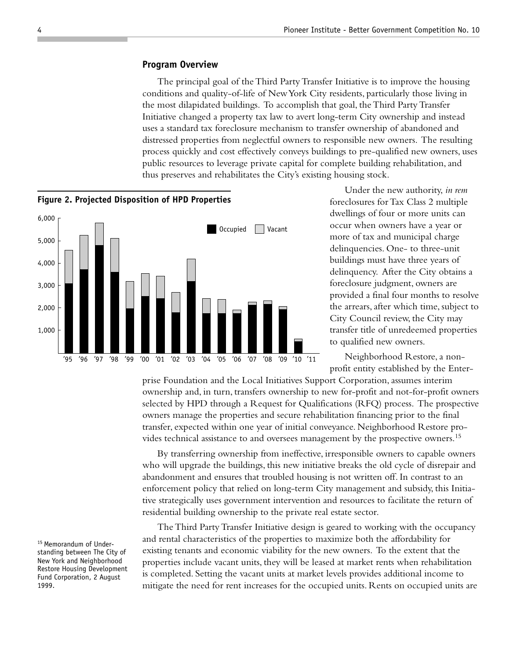#### **Program Overview**

The principal goal of the Third Party Transfer Initiative is to improve the housing conditions and quality-of-life of New York City residents, particularly those living in the most dilapidated buildings. To accomplish that goal, the Third Party Transfer Initiative changed a property tax law to avert long-term City ownership and instead uses a standard tax foreclosure mechanism to transfer ownership of abandoned and distressed properties from neglectful owners to responsible new owners. The resulting process quickly and cost effectively conveys buildings to pre-qualified new owners, uses public resources to leverage private capital for complete building rehabilitation, and thus preserves and rehabilitates the City's existing housing stock.



**Figure 2. Projected Disposition of HPD Properties**

Under the new authority, *in rem* foreclosures for Tax Class 2 multiple dwellings of four or more units can occur when owners have a year or more of tax and municipal charge delinquencies. One- to three-unit buildings must have three years of delinquency. After the City obtains a foreclosure judgment, owners are provided a final four months to resolve the arrears, after which time, subject to City Council review, the City may transfer title of unredeemed properties to qualified new owners.

Neighborhood Restore, a nonprofit entity established by the Enter-

prise Foundation and the Local Initiatives Support Corporation, assumes interim ownership and, in turn, transfers ownership to new for-profit and not-for-profit owners selected by HPD through a Request for Qualifications (RFQ) process. The prospective owners manage the properties and secure rehabilitation financing prior to the final transfer, expected within one year of initial conveyance. Neighborhood Restore provides technical assistance to and oversees management by the prospective owners.<sup>15</sup>

By transferring ownership from ineffective, irresponsible owners to capable owners who will upgrade the buildings, this new initiative breaks the old cycle of disrepair and abandonment and ensures that troubled housing is not written off. In contrast to an enforcement policy that relied on long-term City management and subsidy, this Initiative strategically uses government intervention and resources to facilitate the return of residential building ownership to the private real estate sector.

The Third Party Transfer Initiative design is geared to working with the occupancy and rental characteristics of the properties to maximize both the affordability for existing tenants and economic viability for the new owners. To the extent that the properties include vacant units, they will be leased at market rents when rehabilitation is completed. Setting the vacant units at market levels provides additional income to mitigate the need for rent increases for the occupied units. Rents on occupied units are

15 Memorandum of Understanding between The City of New York and Neighborhood Restore Housing Development Fund Corporation, 2 August 1999.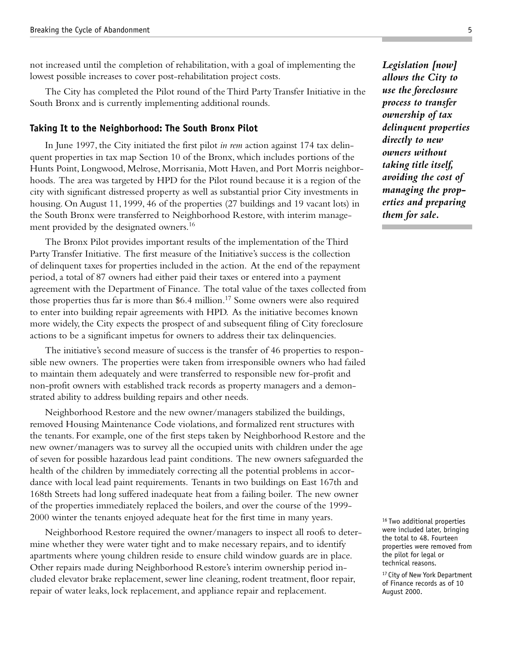not increased until the completion of rehabilitation, with a goal of implementing the lowest possible increases to cover post-rehabilitation project costs.

The City has completed the Pilot round of the Third Party Transfer Initiative in the South Bronx and is currently implementing additional rounds.

### **Taking It to the Neighborhood: The South Bronx Pilot**

In June 1997, the City initiated the first pilot *in rem* action against 174 tax delinquent properties in tax map Section 10 of the Bronx, which includes portions of the Hunts Point, Longwood, Melrose, Morrisania, Mott Haven, and Port Morris neighborhoods. The area was targeted by HPD for the Pilot round because it is a region of the city with significant distressed property as well as substantial prior City investments in housing. On August 11, 1999, 46 of the properties (27 buildings and 19 vacant lots) in the South Bronx were transferred to Neighborhood Restore, with interim management provided by the designated owners.<sup>16</sup>

The Bronx Pilot provides important results of the implementation of the Third Party Transfer Initiative. The first measure of the Initiative's success is the collection of delinquent taxes for properties included in the action. At the end of the repayment period, a total of 87 owners had either paid their taxes or entered into a payment agreement with the Department of Finance. The total value of the taxes collected from those properties thus far is more than \$6.4 million.<sup>17</sup> Some owners were also required to enter into building repair agreements with HPD. As the initiative becomes known more widely, the City expects the prospect of and subsequent filing of City foreclosure actions to be a significant impetus for owners to address their tax delinquencies.

The initiative's second measure of success is the transfer of 46 properties to responsible new owners. The properties were taken from irresponsible owners who had failed to maintain them adequately and were transferred to responsible new for-profit and non-profit owners with established track records as property managers and a demonstrated ability to address building repairs and other needs.

Neighborhood Restore and the new owner/managers stabilized the buildings, removed Housing Maintenance Code violations, and formalized rent structures with the tenants. For example, one of the first steps taken by Neighborhood Restore and the new owner/managers was to survey all the occupied units with children under the age of seven for possible hazardous lead paint conditions. The new owners safeguarded the health of the children by immediately correcting all the potential problems in accordance with local lead paint requirements. Tenants in two buildings on East 167th and 168th Streets had long suffered inadequate heat from a failing boiler. The new owner of the properties immediately replaced the boilers, and over the course of the 1999- 2000 winter the tenants enjoyed adequate heat for the first time in many years.

Neighborhood Restore required the owner/managers to inspect all roofs to determine whether they were water tight and to make necessary repairs, and to identify apartments where young children reside to ensure child window guards are in place. Other repairs made during Neighborhood Restore's interim ownership period included elevator brake replacement, sewer line cleaning, rodent treatment, floor repair, repair of water leaks, lock replacement, and appliance repair and replacement.

*Legislation [now] allows the City to use the foreclosure process to transfer ownership of tax delinquent properties directly to new owners without taking title itself, avoiding the cost of managing the properties and preparing them for sale.*

16 Two additional properties were included later, bringing the total to 48. Fourteen properties were removed from the pilot for legal or technical reasons.

<sup>17</sup> City of New York Department of Finance records as of 10 August 2000.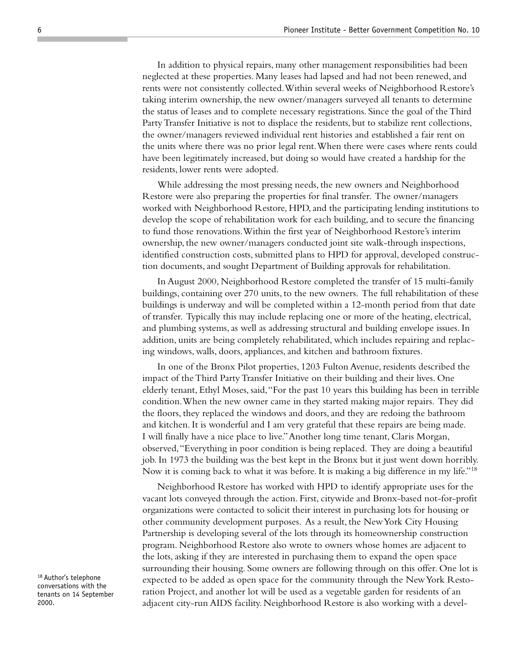In addition to physical repairs, many other management responsibilities had been neglected at these properties. Many leases had lapsed and had not been renewed, and rents were not consistently collected. Within several weeks of Neighborhood Restore's taking interim ownership, the new owner/managers surveyed all tenants to determine the status of leases and to complete necessary registrations. Since the goal of the Third Party Transfer Initiative is not to displace the residents, but to stabilize rent collections, the owner/managers reviewed individual rent histories and established a fair rent on the units where there was no prior legal rent. When there were cases where rents could have been legitimately increased, but doing so would have created a hardship for the residents, lower rents were adopted.

While addressing the most pressing needs, the new owners and Neighborhood Restore were also preparing the properties for final transfer. The owner/managers worked with Neighborhood Restore, HPD, and the participating lending institutions to develop the scope of rehabilitation work for each building, and to secure the financing to fund those renovations. Within the first year of Neighborhood Restore's interim ownership, the new owner/managers conducted joint site walk-through inspections, identified construction costs, submitted plans to HPD for approval, developed construction documents, and sought Department of Building approvals for rehabilitation.

In August 2000, Neighborhood Restore completed the transfer of 15 multi-family buildings, containing over 270 units, to the new owners. The full rehabilitation of these buildings is underway and will be completed within a 12-month period from that date of transfer. Typically this may include replacing one or more of the heating, electrical, and plumbing systems, as well as addressing structural and building envelope issues. In addition, units are being completely rehabilitated, which includes repairing and replacing windows, walls, doors, appliances, and kitchen and bathroom fixtures.

In one of the Bronx Pilot properties, 1203 Fulton Avenue, residents described the impact of the Third Party Transfer Initiative on their building and their lives. One elderly tenant, Ethyl Moses, said, "For the past 10 years this building has been in terrible condition. When the new owner came in they started making major repairs. They did the floors, they replaced the windows and doors, and they are redoing the bathroom and kitchen. It is wonderful and I am very grateful that these repairs are being made. I will finally have a nice place to live." Another long time tenant, Claris Morgan, observed, "Everything in poor condition is being replaced. They are doing a beautiful job. In 1973 the building was the best kept in the Bronx but it just went down horribly. Now it is coming back to what it was before. It is making a big difference in my life."<sup>18</sup>

Neighborhood Restore has worked with HPD to identify appropriate uses for the vacant lots conveyed through the action. First, citywide and Bronx-based not-for-profit organizations were contacted to solicit their interest in purchasing lots for housing or other community development purposes. As a result, the New York City Housing Partnership is developing several of the lots through its homeownership construction program. Neighborhood Restore also wrote to owners whose homes are adjacent to the lots, asking if they are interested in purchasing them to expand the open space surrounding their housing. Some owners are following through on this offer. One lot is expected to be added as open space for the community through the New York Restoration Project, and another lot will be used as a vegetable garden for residents of an adjacent city-run AIDS facility. Neighborhood Restore is also working with a devel-

<sup>18</sup> Author's telephone conversations with the tenants on 14 September 2000.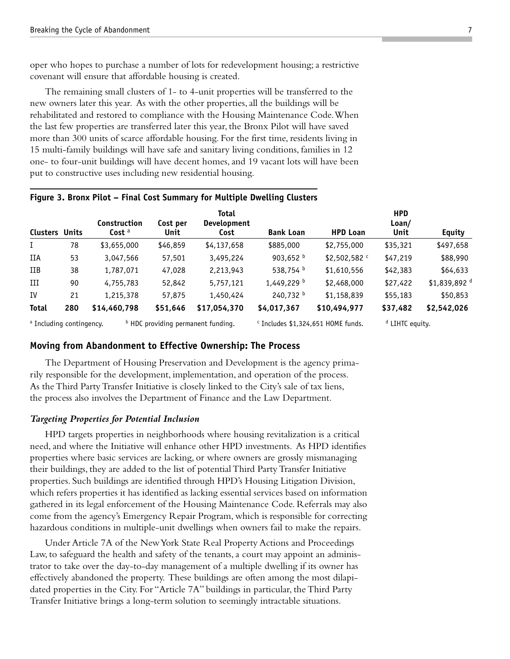oper who hopes to purchase a number of lots for redevelopment housing; a restrictive covenant will ensure that affordable housing is created.

The remaining small clusters of 1- to 4-unit properties will be transferred to the new owners later this year. As with the other properties, all the buildings will be rehabilitated and restored to compliance with the Housing Maintenance Code. When the last few properties are transferred later this year, the Bronx Pilot will have saved more than 300 units of scarce affordable housing. For the first time, residents living in 15 multi-family buildings will have safe and sanitary living conditions, families in 12 one- to four-unit buildings will have decent homes, and 19 vacant lots will have been put to constructive uses including new residential housing.

|                                     |     | Construction      | Cost per | <b>Total</b><br><b>Development</b>            |                    |                                               | <b>HPD</b><br>Loan/        |                          |
|-------------------------------------|-----|-------------------|----------|-----------------------------------------------|--------------------|-----------------------------------------------|----------------------------|--------------------------|
| <b>Clusters Units</b>               |     | Cost <sup>a</sup> | Unit     | Cost                                          | <b>Bank Loan</b>   | <b>HPD Loan</b>                               | Unit                       | <b>Equity</b>            |
| $\mathbf{I}$                        | 78  | \$3,655,000       | \$46,859 | \$4,137,658                                   | \$885,000          | \$2,755,000                                   | \$35,321                   | \$497,658                |
| IIA                                 | 53  | 3,047,566         | 57,501   | 3,495,224                                     | 903,652 $^{\rm b}$ | \$2,502,582 c                                 | \$47,219                   | \$88,990                 |
| <b>IIB</b>                          | 38  | 1,787,071         | 47,028   | 2,213,943                                     | 538,754 b          | \$1,610,556                                   | \$42,383                   | \$64,633                 |
| Ш                                   | 90  | 4,755,783         | 52,842   | 5,757,121                                     | 1,449,229 b        | \$2,468,000                                   | \$27,422                   | \$1,839,892 <sup>d</sup> |
| IV                                  | 21  | 1,215,378         | 57,875   | 1,450,424                                     | 240,732 b          | \$1,158,839                                   | \$55,183                   | \$50,853                 |
| <b>Total</b>                        | 280 | \$14,460,798      | \$51,646 | \$17,054,370                                  | \$4,017,367        | \$10,494,977                                  | \$37,482                   | \$2,542,026              |
| <sup>a</sup> Including contingency. |     |                   |          | <sup>b</sup> HDC providing permanent funding. |                    | <sup>c</sup> Includes \$1,324,651 HOME funds. | <sup>d</sup> LIHTC equity. |                          |

### **Figure 3. Bronx Pilot – Final Cost Summary for Multiple Dwelling Clusters**

#### **Moving from Abandonment to Effective Ownership: The Process**

The Department of Housing Preservation and Development is the agency primarily responsible for the development, implementation, and operation of the process. As the Third Party Transfer Initiative is closely linked to the City's sale of tax liens, the process also involves the Department of Finance and the Law Department.

#### *Targeting Properties for Potential Inclusion*

HPD targets properties in neighborhoods where housing revitalization is a critical need, and where the Initiative will enhance other HPD investments. As HPD identifies properties where basic services are lacking, or where owners are grossly mismanaging their buildings, they are added to the list of potential Third Party Transfer Initiative properties. Such buildings are identified through HPD's Housing Litigation Division, which refers properties it has identified as lacking essential services based on information gathered in its legal enforcement of the Housing Maintenance Code. Referrals may also come from the agency's Emergency Repair Program, which is responsible for correcting hazardous conditions in multiple-unit dwellings when owners fail to make the repairs.

Under Article 7A of the New York State Real Property Actions and Proceedings Law, to safeguard the health and safety of the tenants, a court may appoint an administrator to take over the day-to-day management of a multiple dwelling if its owner has effectively abandoned the property. These buildings are often among the most dilapidated properties in the City. For "Article 7A" buildings in particular, the Third Party Transfer Initiative brings a long-term solution to seemingly intractable situations.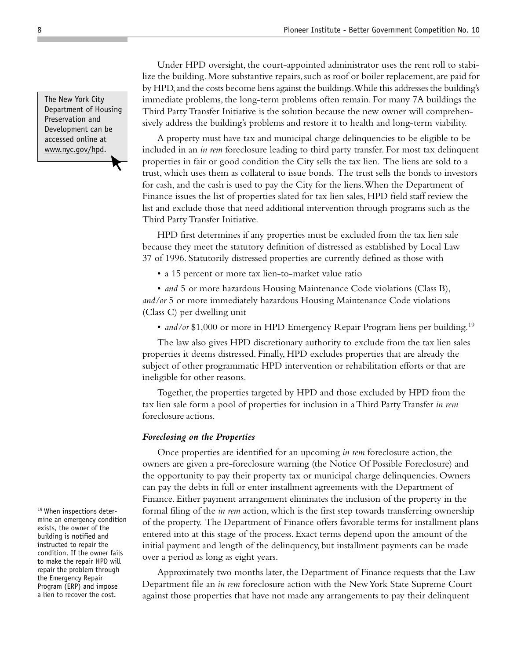Under HPD oversight, the court-appointed administrator uses the rent roll to stabilize the building. More substantive repairs, such as roof or boiler replacement, are paid for by HPD, and the costs become liens against the buildings. While this addresses the building's immediate problems, the long-term problems often remain. For many 7A buildings the Third Party Transfer Initiative is the solution because the new owner will comprehensively address the building's problems and restore it to health and long-term viability.

A property must have tax and municipal charge delinquencies to be eligible to be included in an *in rem* foreclosure leading to third party transfer. For most tax delinquent properties in fair or good condition the City sells the tax lien. The liens are sold to a trust, which uses them as collateral to issue bonds. The trust sells the bonds to investors for cash, and the cash is used to pay the City for the liens. When the Department of Finance issues the list of properties slated for tax lien sales, HPD field staff review the list and exclude those that need additional intervention through programs such as the Third Party Transfer Initiative.

HPD first determines if any properties must be excluded from the tax lien sale because they meet the statutory definition of distressed as established by Local Law 37 of 1996. Statutorily distressed properties are currently defined as those with

• a 15 percent or more tax lien-to-market value ratio

• *and* 5 or more hazardous Housing Maintenance Code violations (Class B), *and/or* 5 or more immediately hazardous Housing Maintenance Code violations (Class C) per dwelling unit

• *and/or* \$1,000 or more in HPD Emergency Repair Program liens per building.<sup>19</sup>

The law also gives HPD discretionary authority to exclude from the tax lien sales properties it deems distressed. Finally, HPD excludes properties that are already the subject of other programmatic HPD intervention or rehabilitation efforts or that are ineligible for other reasons.

Together, the properties targeted by HPD and those excluded by HPD from the tax lien sale form a pool of properties for inclusion in a Third Party Transfer *in rem* foreclosure actions.

#### *Foreclosing on the Properties*

Once properties are identified for an upcoming *in rem* foreclosure action, the owners are given a pre-foreclosure warning (the Notice Of Possible Foreclosure) and the opportunity to pay their property tax or municipal charge delinquencies. Owners can pay the debts in full or enter installment agreements with the Department of Finance. Either payment arrangement eliminates the inclusion of the property in the formal filing of the *in rem* action, which is the first step towards transferring ownership of the property. The Department of Finance offers favorable terms for installment plans entered into at this stage of the process. Exact terms depend upon the amount of the initial payment and length of the delinquency, but installment payments can be made over a period as long as eight years.

Approximately two months later, the Department of Finance requests that the Law Department file an *in rem* foreclosure action with the New York State Supreme Court against those properties that have not made any arrangements to pay their delinquent

The New York City Department of Housing Preservation and Development can be accessed online at www.nyc.gov/hpd.

19 When inspections determine an emergency condition exists, the owner of the building is notified and instructed to repair the condition. If the owner fails to make the repair HPD will repair the problem through the Emergency Repair Program (ERP) and impose a lien to recover the cost.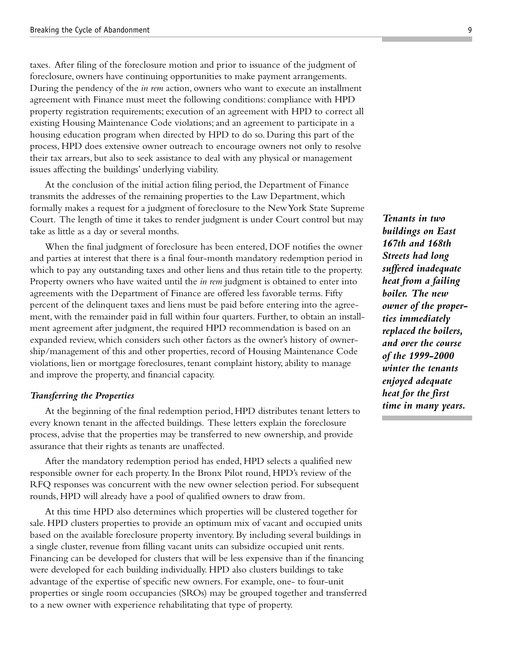taxes. After filing of the foreclosure motion and prior to issuance of the judgment of foreclosure, owners have continuing opportunities to make payment arrangements. During the pendency of the *in rem* action, owners who want to execute an installment agreement with Finance must meet the following conditions: compliance with HPD property registration requirements; execution of an agreement with HPD to correct all existing Housing Maintenance Code violations; and an agreement to participate in a housing education program when directed by HPD to do so. During this part of the process, HPD does extensive owner outreach to encourage owners not only to resolve their tax arrears, but also to seek assistance to deal with any physical or management issues affecting the buildings' underlying viability.

At the conclusion of the initial action filing period, the Department of Finance transmits the addresses of the remaining properties to the Law Department, which formally makes a request for a judgment of foreclosure to the New York State Supreme Court. The length of time it takes to render judgment is under Court control but may take as little as a day or several months.

When the final judgment of foreclosure has been entered, DOF notifies the owner and parties at interest that there is a final four-month mandatory redemption period in which to pay any outstanding taxes and other liens and thus retain title to the property. Property owners who have waited until the *in rem* judgment is obtained to enter into agreements with the Department of Finance are offered less favorable terms. Fifty percent of the delinquent taxes and liens must be paid before entering into the agreement, with the remainder paid in full within four quarters. Further, to obtain an installment agreement after judgment, the required HPD recommendation is based on an expanded review, which considers such other factors as the owner's history of ownership/management of this and other properties, record of Housing Maintenance Code violations, lien or mortgage foreclosures, tenant complaint history, ability to manage and improve the property, and financial capacity.

#### *Transferring the Properties*

At the beginning of the final redemption period, HPD distributes tenant letters to every known tenant in the affected buildings. These letters explain the foreclosure process, advise that the properties may be transferred to new ownership, and provide assurance that their rights as tenants are unaffected.

After the mandatory redemption period has ended, HPD selects a qualified new responsible owner for each property. In the Bronx Pilot round, HPD's review of the RFQ responses was concurrent with the new owner selection period. For subsequent rounds, HPD will already have a pool of qualified owners to draw from.

At this time HPD also determines which properties will be clustered together for sale. HPD clusters properties to provide an optimum mix of vacant and occupied units based on the available foreclosure property inventory. By including several buildings in a single cluster, revenue from filling vacant units can subsidize occupied unit rents. Financing can be developed for clusters that will be less expensive than if the financing were developed for each building individually. HPD also clusters buildings to take advantage of the expertise of specific new owners. For example, one- to four-unit properties or single room occupancies (SROs) may be grouped together and transferred to a new owner with experience rehabilitating that type of property.

*Tenants in two buildings on East 167th and 168th Streets had long suffered inadequate heat from a failing boiler. The new owner of the properties immediately replaced the boilers, and over the course of the 1999-2000 winter the tenants enjoyed adequate heat for the first time in many years.*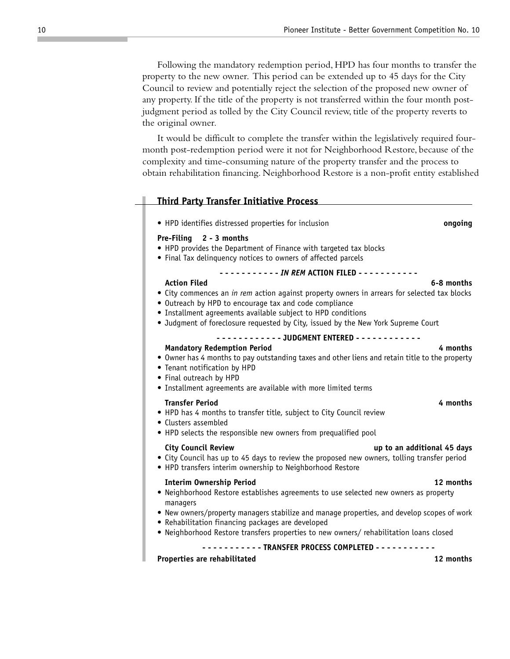Following the mandatory redemption period, HPD has four months to transfer the property to the new owner. This period can be extended up to 45 days for the City Council to review and potentially reject the selection of the proposed new owner of any property. If the title of the property is not transferred within the four month postjudgment period as tolled by the City Council review, title of the property reverts to the original owner.

It would be difficult to complete the transfer within the legislatively required fourmonth post-redemption period were it not for Neighborhood Restore, because of the complexity and time-consuming nature of the property transfer and the process to obtain rehabilitation financing. Neighborhood Restore is a non-profit entity established

| <b>Third Party Transfer Initiative Process</b>                                                                                                                                                                                                                                                                                                   |  |  |  |  |  |
|--------------------------------------------------------------------------------------------------------------------------------------------------------------------------------------------------------------------------------------------------------------------------------------------------------------------------------------------------|--|--|--|--|--|
| • HPD identifies distressed properties for inclusion<br>ongoing                                                                                                                                                                                                                                                                                  |  |  |  |  |  |
| Pre-Filing 2 - 3 months<br>• HPD provides the Department of Finance with targeted tax blocks<br>• Final Tax delinquency notices to owners of affected parcels                                                                                                                                                                                    |  |  |  |  |  |
| - - - - - - - - - <i>IN REM</i> ACTION FILED - - - - - - - - - -                                                                                                                                                                                                                                                                                 |  |  |  |  |  |
| <b>Action Filed</b><br>6-8 months<br>• City commences an in rem action against property owners in arrears for selected tax blocks<br>• Outreach by HPD to encourage tax and code compliance<br>• Installment agreements available subject to HPD conditions<br>• Judgment of foreclosure requested by City, issued by the New York Supreme Court |  |  |  |  |  |
|                                                                                                                                                                                                                                                                                                                                                  |  |  |  |  |  |
| <b>Mandatory Redemption Period</b><br>4 months<br>• Owner has 4 months to pay outstanding taxes and other liens and retain title to the property<br>• Tenant notification by HPD<br>• Final outreach by HPD<br>• Installment agreements are available with more limited terms                                                                    |  |  |  |  |  |
| <b>Transfer Period</b><br>4 months<br>• HPD has 4 months to transfer title, subject to City Council review<br>• Clusters assembled<br>• HPD selects the responsible new owners from prequalified pool                                                                                                                                            |  |  |  |  |  |
| <b>City Council Review</b><br>up to an additional 45 days<br>• City Council has up to 45 days to review the proposed new owners, tolling transfer period<br>• HPD transfers interim ownership to Neighborhood Restore                                                                                                                            |  |  |  |  |  |
| <b>Interim Ownership Period</b><br>12 months<br>• Neighborhood Restore establishes agreements to use selected new owners as property<br>managers                                                                                                                                                                                                 |  |  |  |  |  |
| • New owners/property managers stabilize and manage properties, and develop scopes of work<br>• Rehabilitation financing packages are developed<br>. Neighborhood Restore transfers properties to new owners/rehabilitation loans closed                                                                                                         |  |  |  |  |  |
| -------- TRANSFER PROCESS COMPLETED -----------                                                                                                                                                                                                                                                                                                  |  |  |  |  |  |

#### **Properties are rehabilitated 12 months**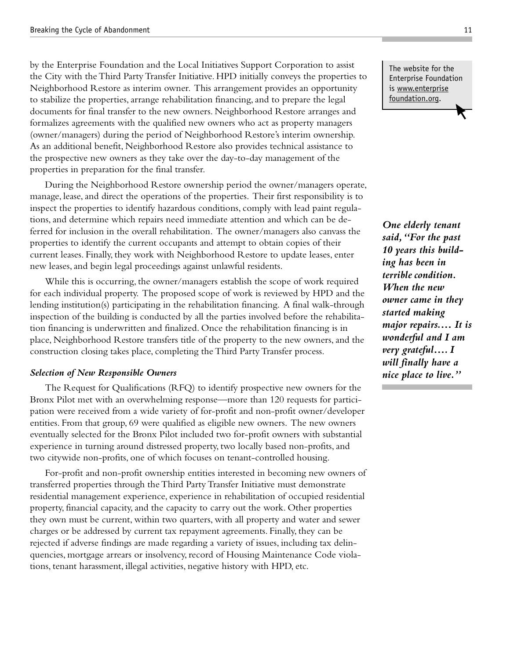by the Enterprise Foundation and the Local Initiatives Support Corporation to assist the City with the Third Party Transfer Initiative. HPD initially conveys the properties to Neighborhood Restore as interim owner. This arrangement provides an opportunity to stabilize the properties, arrange rehabilitation financing, and to prepare the legal documents for final transfer to the new owners. Neighborhood Restore arranges and formalizes agreements with the qualified new owners who act as property managers (owner/managers) during the period of Neighborhood Restore's interim ownership. As an additional benefit, Neighborhood Restore also provides technical assistance to the prospective new owners as they take over the day-to-day management of the properties in preparation for the final transfer.

During the Neighborhood Restore ownership period the owner/managers operate, manage, lease, and direct the operations of the properties. Their first responsibility is to inspect the properties to identify hazardous conditions, comply with lead paint regulations, and determine which repairs need immediate attention and which can be deferred for inclusion in the overall rehabilitation. The owner/managers also canvass the properties to identify the current occupants and attempt to obtain copies of their current leases. Finally, they work with Neighborhood Restore to update leases, enter new leases, and begin legal proceedings against unlawful residents.

While this is occurring, the owner/managers establish the scope of work required for each individual property. The proposed scope of work is reviewed by HPD and the lending institution(s) participating in the rehabilitation financing. A final walk-through inspection of the building is conducted by all the parties involved before the rehabilitation financing is underwritten and finalized. Once the rehabilitation financing is in place, Neighborhood Restore transfers title of the property to the new owners, and the construction closing takes place, completing the Third Party Transfer process.

#### *Selection of New Responsible Owners*

The Request for Qualifications (RFQ) to identify prospective new owners for the Bronx Pilot met with an overwhelming response—more than 120 requests for participation were received from a wide variety of for-profit and non-profit owner/developer entities. From that group, 69 were qualified as eligible new owners. The new owners eventually selected for the Bronx Pilot included two for-profit owners with substantial experience in turning around distressed property, two locally based non-profits, and two citywide non-profits, one of which focuses on tenant-controlled housing.

For-profit and non-profit ownership entities interested in becoming new owners of transferred properties through the Third Party Transfer Initiative must demonstrate residential management experience, experience in rehabilitation of occupied residential property, financial capacity, and the capacity to carry out the work. Other properties they own must be current, within two quarters, with all property and water and sewer charges or be addressed by current tax repayment agreements. Finally, they can be rejected if adverse findings are made regarding a variety of issues, including tax delinquencies, mortgage arrears or insolvency, record of Housing Maintenance Code violations, tenant harassment, illegal activities, negative history with HPD, etc.

The website for the Enterprise Foundation is www.enterprise foundation.org.

*One elderly tenant said, "For the past 10 years this building has been in terrible condition. When the new owner came in they started making major repairs.… It is wonderful and I am very grateful…. I will finally have a nice place to live."*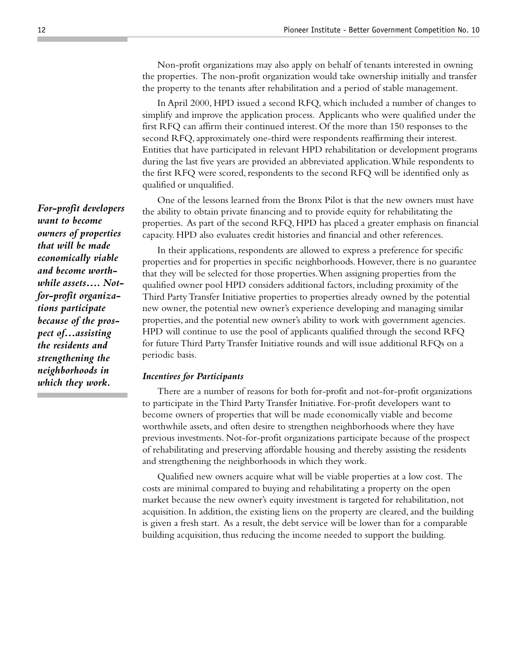Non-profit organizations may also apply on behalf of tenants interested in owning the properties. The non-profit organization would take ownership initially and transfer the property to the tenants after rehabilitation and a period of stable management.

In April 2000, HPD issued a second RFQ, which included a number of changes to simplify and improve the application process. Applicants who were qualified under the first RFQ can affirm their continued interest. Of the more than 150 responses to the second RFQ, approximately one-third were respondents reaffirming their interest. Entities that have participated in relevant HPD rehabilitation or development programs during the last five years are provided an abbreviated application. While respondents to the first RFQ were scored, respondents to the second RFQ will be identified only as qualified or unqualified.

One of the lessons learned from the Bronx Pilot is that the new owners must have the ability to obtain private financing and to provide equity for rehabilitating the properties. As part of the second RFQ, HPD has placed a greater emphasis on financial capacity. HPD also evaluates credit histories and financial and other references.

In their applications, respondents are allowed to express a preference for specific properties and for properties in specific neighborhoods. However, there is no guarantee that they will be selected for those properties. When assigning properties from the qualified owner pool HPD considers additional factors, including proximity of the Third Party Transfer Initiative properties to properties already owned by the potential new owner, the potential new owner's experience developing and managing similar properties, and the potential new owner's ability to work with government agencies. HPD will continue to use the pool of applicants qualified through the second RFQ for future Third Party Transfer Initiative rounds and will issue additional RFQs on a periodic basis.

#### *Incentives for Participants*

There are a number of reasons for both for-profit and not-for-profit organizations to participate in the Third Party Transfer Initiative. For-profit developers want to become owners of properties that will be made economically viable and become worthwhile assets, and often desire to strengthen neighborhoods where they have previous investments. Not-for-profit organizations participate because of the prospect of rehabilitating and preserving affordable housing and thereby assisting the residents and strengthening the neighborhoods in which they work.

Qualified new owners acquire what will be viable properties at a low cost. The costs are minimal compared to buying and rehabilitating a property on the open market because the new owner's equity investment is targeted for rehabilitation, not acquisition. In addition, the existing liens on the property are cleared, and the building is given a fresh start. As a result, the debt service will be lower than for a comparable building acquisition, thus reducing the income needed to support the building.

*For-profit developers want to become owners of properties that will be made economically viable and become worthwhile assets…. Notfor-profit organizations participate because of the prospect of…assisting the residents and strengthening the neighborhoods in which they work.*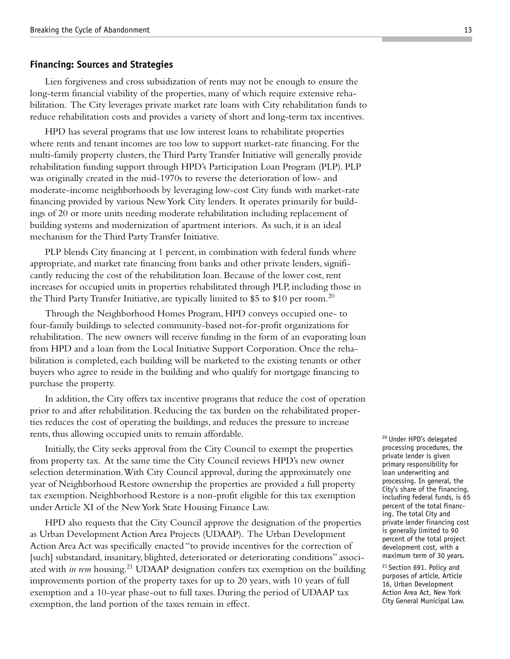#### **Financing: Sources and Strategies**

Lien forgiveness and cross subsidization of rents may not be enough to ensure the long-term financial viability of the properties, many of which require extensive rehabilitation. The City leverages private market rate loans with City rehabilitation funds to reduce rehabilitation costs and provides a variety of short and long-term tax incentives.

HPD has several programs that use low interest loans to rehabilitate properties where rents and tenant incomes are too low to support market-rate financing. For the multi-family property clusters, the Third Party Transfer Initiative will generally provide rehabilitation funding support through HPD's Participation Loan Program (PLP). PLP was originally created in the mid-1970s to reverse the deterioration of low- and moderate-income neighborhoods by leveraging low-cost City funds with market-rate financing provided by various New York City lenders. It operates primarily for buildings of 20 or more units needing moderate rehabilitation including replacement of building systems and modernization of apartment interiors. As such, it is an ideal mechanism for the Third Party Transfer Initiative.

PLP blends City financing at 1 percent, in combination with federal funds where appropriate, and market rate financing from banks and other private lenders, significantly reducing the cost of the rehabilitation loan. Because of the lower cost, rent increases for occupied units in properties rehabilitated through PLP, including those in the Third Party Transfer Initiative, are typically limited to \$5 to \$10 per room.<sup>20</sup>

Through the Neighborhood Homes Program, HPD conveys occupied one- to four-family buildings to selected community-based not-for-profit organizations for rehabilitation. The new owners will receive funding in the form of an evaporating loan from HPD and a loan from the Local Initiative Support Corporation. Once the rehabilitation is completed, each building will be marketed to the existing tenants or other buyers who agree to reside in the building and who qualify for mortgage financing to purchase the property.

In addition, the City offers tax incentive programs that reduce the cost of operation prior to and after rehabilitation. Reducing the tax burden on the rehabilitated properties reduces the cost of operating the buildings, and reduces the pressure to increase rents, thus allowing occupied units to remain affordable.

Initially, the City seeks approval from the City Council to exempt the properties from property tax. At the same time the City Council reviews HPD's new owner selection determination. With City Council approval, during the approximately one year of Neighborhood Restore ownership the properties are provided a full property tax exemption. Neighborhood Restore is a non-profit eligible for this tax exemption under Article XI of the New York State Housing Finance Law.

HPD also requests that the City Council approve the designation of the properties as Urban Development Action Area Projects (UDAAP). The Urban Development Action Area Act was specifically enacted "to provide incentives for the correction of [such] substandard, insanitary, blighted, deteriorated or deteriorating conditions" associated with *in rem* housing.<sup>21</sup> UDAAP designation confers tax exemption on the building improvements portion of the property taxes for up to 20 years, with 10 years of full exemption and a 10-year phase-out to full taxes. During the period of UDAAP tax exemption, the land portion of the taxes remain in effect.

20 Under HPD's delegated processing procedures, the private lender is given primary responsibility for loan underwriting and processing. In general, the City's share of the financing, including federal funds, is 65 percent of the total financing. The total City and private lender financing cost is generally limited to 90 percent of the total project development cost, with a maximum term of 30 years.

21 Section 691. Policy and purposes of article, Article 16, Urban Development Action Area Act, New York City General Municipal Law.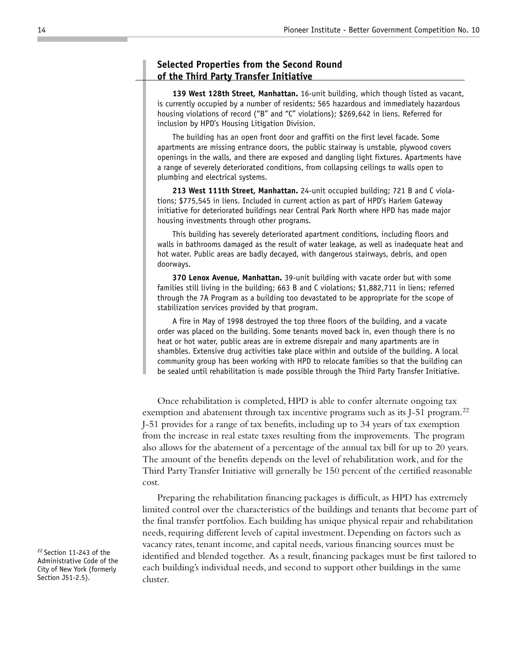## **Selected Properties from the Second Round of the Third Party Transfer Initiative**

**139 West 128th Street, Manhattan.** 16-unit building, which though listed as vacant, is currently occupied by a number of residents; 565 hazardous and immediately hazardous housing violations of record ("B" and "C" violations); \$269,642 in liens. Referred for inclusion by HPD's Housing Litigation Division.

The building has an open front door and graffiti on the first level facade. Some apartments are missing entrance doors, the public stairway is unstable, plywood covers openings in the walls, and there are exposed and dangling light fixtures. Apartments have a range of severely deteriorated conditions, from collapsing ceilings to walls open to plumbing and electrical systems.

**213 West 111th Street, Manhattan.** 24-unit occupied building; 721 B and C violations; \$775,545 in liens. Included in current action as part of HPD's Harlem Gateway initiative for deteriorated buildings near Central Park North where HPD has made major housing investments through other programs.

This building has severely deteriorated apartment conditions, including floors and walls in bathrooms damaged as the result of water leakage, as well as inadequate heat and hot water. Public areas are badly decayed, with dangerous stairways, debris, and open doorways.

**370 Lenox Avenue, Manhattan.** 39-unit building with vacate order but with some families still living in the building; 663 B and C violations; \$1,882,711 in liens; referred through the 7A Program as a building too devastated to be appropriate for the scope of stabilization services provided by that program.

A fire in May of 1998 destroyed the top three floors of the building, and a vacate order was placed on the building. Some tenants moved back in, even though there is no heat or hot water, public areas are in extreme disrepair and many apartments are in shambles. Extensive drug activities take place within and outside of the building. A local community group has been working with HPD to relocate families so that the building can be sealed until rehabilitation is made possible through the Third Party Transfer Initiative.

Once rehabilitation is completed, HPD is able to confer alternate ongoing tax exemption and abatement through tax incentive programs such as its J-51 program.<sup>22</sup> J-51 provides for a range of tax benefits, including up to 34 years of tax exemption from the increase in real estate taxes resulting from the improvements. The program also allows for the abatement of a percentage of the annual tax bill for up to 20 years. The amount of the benefits depends on the level of rehabilitation work, and for the Third Party Transfer Initiative will generally be 150 percent of the certified reasonable cost.

Preparing the rehabilitation financing packages is difficult, as HPD has extremely limited control over the characteristics of the buildings and tenants that become part of the final transfer portfolios. Each building has unique physical repair and rehabilitation needs, requiring different levels of capital investment. Depending on factors such as vacancy rates, tenant income, and capital needs, various financing sources must be identified and blended together. As a result, financing packages must be first tailored to each building's individual needs, and second to support other buildings in the same cluster.

<sup>22</sup> Section 11-243 of the Administrative Code of the City of New York (formerly Section J51-2.5).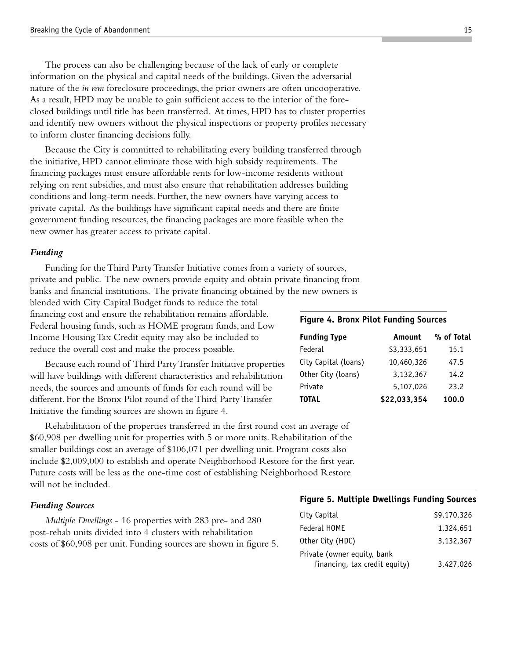The process can also be challenging because of the lack of early or complete information on the physical and capital needs of the buildings. Given the adversarial nature of the *in rem* foreclosure proceedings, the prior owners are often uncooperative. As a result, HPD may be unable to gain sufficient access to the interior of the foreclosed buildings until title has been transferred. At times, HPD has to cluster properties and identify new owners without the physical inspections or property profiles necessary to inform cluster financing decisions fully.

Because the City is committed to rehabilitating every building transferred through the initiative, HPD cannot eliminate those with high subsidy requirements. The financing packages must ensure affordable rents for low-income residents without relying on rent subsidies, and must also ensure that rehabilitation addresses building conditions and long-term needs. Further, the new owners have varying access to private capital. As the buildings have significant capital needs and there are finite government funding resources, the financing packages are more feasible when the new owner has greater access to private capital.

#### *Funding*

Funding for the Third Party Transfer Initiative comes from a variety of sources, private and public. The new owners provide equity and obtain private financing from banks and financial institutions. The private financing obtained by the new owners is

blended with City Capital Budget funds to reduce the total financing cost and ensure the rehabilitation remains affordable. Federal housing funds, such as HOME program funds, and Low Income Housing Tax Credit equity may also be included to reduce the overall cost and make the process possible.

Because each round of Third Party Transfer Initiative properties will have buildings with different characteristics and rehabilitation needs, the sources and amounts of funds for each round will be different. For the Bronx Pilot round of the Third Party Transfer Initiative the funding sources are shown in figure 4.

Rehabilitation of the properties transferred in the first round cost an average of \$60,908 per dwelling unit for properties with 5 or more units. Rehabilitation of the smaller buildings cost an average of \$106,071 per dwelling unit. Program costs also include \$2,009,000 to establish and operate Neighborhood Restore for the first year. Future costs will be less as the one-time cost of establishing Neighborhood Restore will not be included.

#### *Funding Sources*

*Multiple Dwellings* - 16 properties with 283 pre- and 280 post-rehab units divided into 4 clusters with rehabilitation costs of \$60,908 per unit. Funding sources are shown in figure 5.

#### **Figure 4. Bronx Pilot Funding Sources**

| <b>Funding Type</b>  | Amount       | % of Total |
|----------------------|--------------|------------|
| Federal              | \$3,333,651  | 15.1       |
| City Capital (loans) | 10,460,326   | 47.5       |
| Other City (loans)   | 3,132,367    | 14.2       |
| Private              | 5,107,026    | 23.2       |
| <b>TOTAL</b>         | \$22,033,354 | 100.0      |

#### **Figure 5. Multiple Dwellings Funding Sources**

| City Capital                  | \$9,170,326 |  |  |  |
|-------------------------------|-------------|--|--|--|
| Federal HOME                  | 1,324,651   |  |  |  |
| Other City (HDC)              | 3,132,367   |  |  |  |
| Private (owner equity, bank   |             |  |  |  |
| financing, tax credit equity) | 3,427,026   |  |  |  |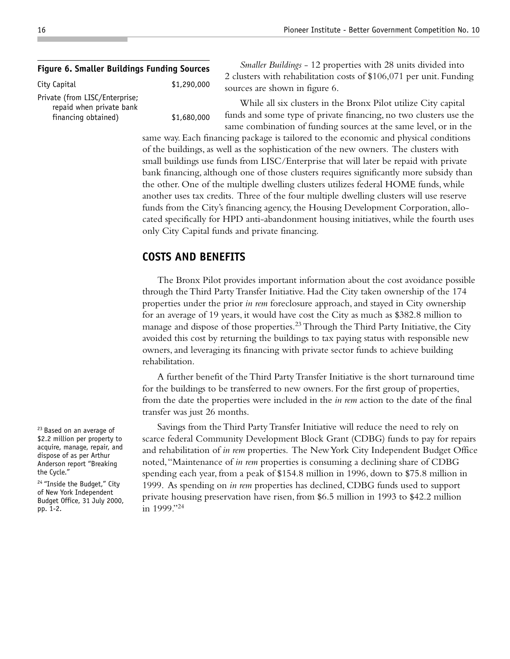#### **Figure 6. Smaller Buildings Funding Sources**

City Capital 61,290,000 Private (from LISC/Enterprise; repaid when private bank financing obtained) \$1,680,000

*Smaller Buildings* - 12 properties with 28 units divided into 2 clusters with rehabilitation costs of \$106,071 per unit. Funding sources are shown in figure 6.

While all six clusters in the Bronx Pilot utilize City capital funds and some type of private financing, no two clusters use the same combination of funding sources at the same level, or in the

same way. Each financing package is tailored to the economic and physical conditions of the buildings, as well as the sophistication of the new owners. The clusters with small buildings use funds from LISC/Enterprise that will later be repaid with private bank financing, although one of those clusters requires significantly more subsidy than the other. One of the multiple dwelling clusters utilizes federal HOME funds, while another uses tax credits. Three of the four multiple dwelling clusters will use reserve funds from the City's financing agency, the Housing Development Corporation, allocated specifically for HPD anti-abandonment housing initiatives, while the fourth uses only City Capital funds and private financing.

## **COSTS AND BENEFITS**

The Bronx Pilot provides important information about the cost avoidance possible through the Third Party Transfer Initiative. Had the City taken ownership of the 174 properties under the prior *in rem* foreclosure approach, and stayed in City ownership for an average of 19 years, it would have cost the City as much as \$382.8 million to manage and dispose of those properties.<sup>23</sup> Through the Third Party Initiative, the City avoided this cost by returning the buildings to tax paying status with responsible new owners, and leveraging its financing with private sector funds to achieve building rehabilitation.

A further benefit of the Third Party Transfer Initiative is the short turnaround time for the buildings to be transferred to new owners. For the first group of properties, from the date the properties were included in the *in rem* action to the date of the final transfer was just 26 months.

Savings from the Third Party Transfer Initiative will reduce the need to rely on scarce federal Community Development Block Grant (CDBG) funds to pay for repairs and rehabilitation of *in rem* properties. The New York City Independent Budget Office noted, "Maintenance of *in rem* properties is consuming a declining share of CDBG spending each year, from a peak of \$154.8 million in 1996, down to \$75.8 million in 1999. As spending on *in rem* properties has declined, CDBG funds used to support private housing preservation have risen, from \$6.5 million in 1993 to \$42.2 million in 1999."24

<sup>23</sup> Based on an average of \$2.2 million per property to acquire, manage, repair, and dispose of as per Arthur Anderson report "Breaking the Cycle."

<sup>24</sup> "Inside the Budget," City of New York Independent Budget Office, 31 July 2000, pp. 1-2.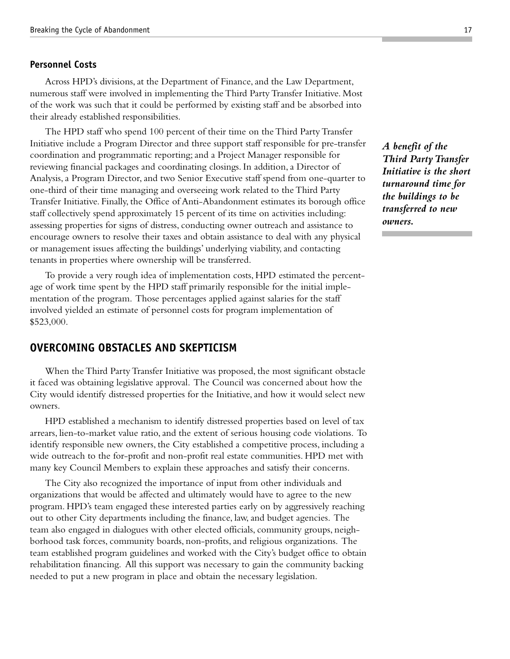#### **Personnel Costs**

Across HPD's divisions, at the Department of Finance, and the Law Department, numerous staff were involved in implementing the Third Party Transfer Initiative. Most of the work was such that it could be performed by existing staff and be absorbed into their already established responsibilities.

The HPD staff who spend 100 percent of their time on the Third Party Transfer Initiative include a Program Director and three support staff responsible for pre-transfer coordination and programmatic reporting; and a Project Manager responsible for reviewing financial packages and coordinating closings. In addition, a Director of Analysis, a Program Director, and two Senior Executive staff spend from one-quarter to one-third of their time managing and overseeing work related to the Third Party Transfer Initiative. Finally, the Office of Anti-Abandonment estimates its borough office staff collectively spend approximately 15 percent of its time on activities including: assessing properties for signs of distress, conducting owner outreach and assistance to encourage owners to resolve their taxes and obtain assistance to deal with any physical or management issues affecting the buildings' underlying viability, and contacting tenants in properties where ownership will be transferred.

To provide a very rough idea of implementation costs, HPD estimated the percentage of work time spent by the HPD staff primarily responsible for the initial implementation of the program. Those percentages applied against salaries for the staff involved yielded an estimate of personnel costs for program implementation of \$523,000.

## **OVERCOMING OBSTACLES AND SKEPTICISM**

When the Third Party Transfer Initiative was proposed, the most significant obstacle it faced was obtaining legislative approval. The Council was concerned about how the City would identify distressed properties for the Initiative, and how it would select new owners.

HPD established a mechanism to identify distressed properties based on level of tax arrears, lien-to-market value ratio, and the extent of serious housing code violations. To identify responsible new owners, the City established a competitive process, including a wide outreach to the for-profit and non-profit real estate communities. HPD met with many key Council Members to explain these approaches and satisfy their concerns.

The City also recognized the importance of input from other individuals and organizations that would be affected and ultimately would have to agree to the new program. HPD's team engaged these interested parties early on by aggressively reaching out to other City departments including the finance, law, and budget agencies. The team also engaged in dialogues with other elected officials, community groups, neighborhood task forces, community boards, non-profits, and religious organizations. The team established program guidelines and worked with the City's budget office to obtain rehabilitation financing. All this support was necessary to gain the community backing needed to put a new program in place and obtain the necessary legislation.

*A benefit of the Third Party Transfer Initiative is the short turnaround time for the buildings to be transferred to new owners.*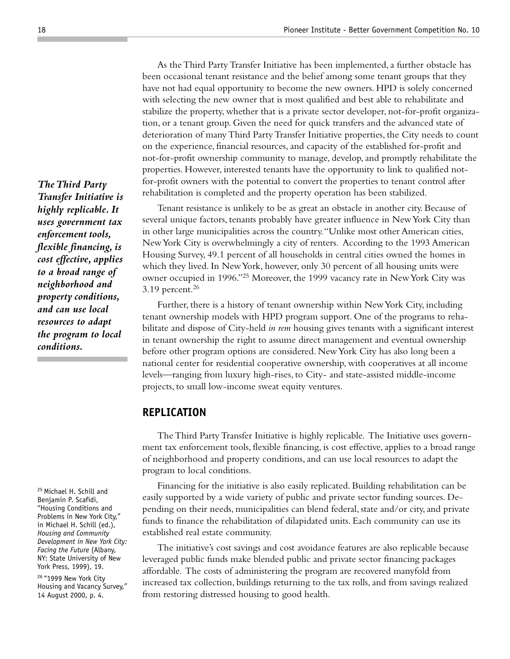As the Third Party Transfer Initiative has been implemented, a further obstacle has been occasional tenant resistance and the belief among some tenant groups that they have not had equal opportunity to become the new owners. HPD is solely concerned with selecting the new owner that is most qualified and best able to rehabilitate and stabilize the property, whether that is a private sector developer, not-for-profit organization, or a tenant group. Given the need for quick transfers and the advanced state of deterioration of many Third Party Transfer Initiative properties, the City needs to count on the experience, financial resources, and capacity of the established for-profit and not-for-profit ownership community to manage, develop, and promptly rehabilitate the properties. However, interested tenants have the opportunity to link to qualified notfor-profit owners with the potential to convert the properties to tenant control after rehabilitation is completed and the property operation has been stabilized.

Tenant resistance is unlikely to be as great an obstacle in another city. Because of several unique factors, tenants probably have greater influence in New York City than in other large municipalities across the country. "Unlike most other American cities, New York City is overwhelmingly a city of renters. According to the 1993 American Housing Survey, 49.1 percent of all households in central cities owned the homes in which they lived. In New York, however, only 30 percent of all housing units were owner occupied in 1996."25 Moreover, the 1999 vacancy rate in New York City was 3.19 percent. $26$ 

Further, there is a history of tenant ownership within New York City, including tenant ownership models with HPD program support. One of the programs to rehabilitate and dispose of City-held *in rem* housing gives tenants with a significant interest in tenant ownership the right to assume direct management and eventual ownership before other program options are considered. New York City has also long been a national center for residential cooperative ownership, with cooperatives at all income levels—ranging from luxury high-rises, to City- and state-assisted middle-income projects, to small low-income sweat equity ventures.

## **REPLICATION**

The Third Party Transfer Initiative is highly replicable. The Initiative uses government tax enforcement tools, flexible financing, is cost effective, applies to a broad range of neighborhood and property conditions, and can use local resources to adapt the program to local conditions.

Financing for the initiative is also easily replicated. Building rehabilitation can be easily supported by a wide variety of public and private sector funding sources. Depending on their needs, municipalities can blend federal, state and/or city, and private funds to finance the rehabilitation of dilapidated units. Each community can use its established real estate community.

The initiative's cost savings and cost avoidance features are also replicable because leveraged public funds make blended public and private sector financing packages affordable. The costs of administering the program are recovered manyfold from increased tax collection, buildings returning to the tax rolls, and from savings realized from restoring distressed housing to good health.

*The Third Party Transfer Initiative is highly replicable. It uses government tax enforcement tools, flexible financing, is cost effective, applies to a broad range of neighborhood and property conditions, and can use local resources to adapt the program to local conditions.*

25 Michael H. Schill and Benjamin P. Scafidi, "Housing Conditions and Problems in New York City," in Michael H. Schill (ed.), *Housing and Community Development in New York City: Facing the Future* (Albany, NY: State University of New York Press, 1999), 19.

<sup>26</sup> "1999 New York City Housing and Vacancy Survey," 14 August 2000, p. 4.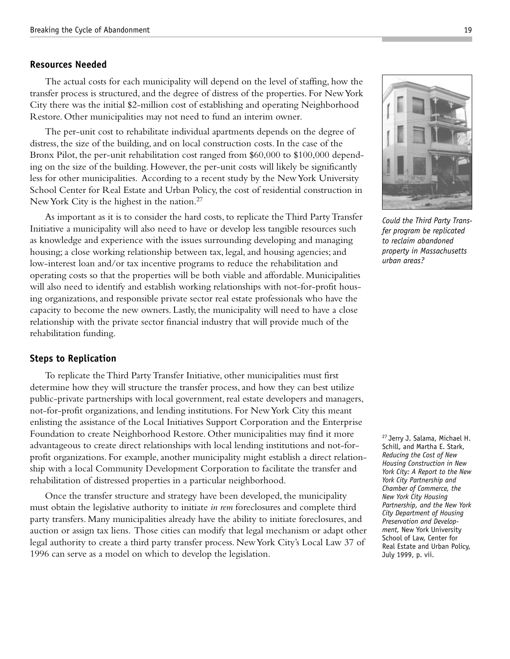#### **Resources Needed**

The actual costs for each municipality will depend on the level of staffing, how the transfer process is structured, and the degree of distress of the properties. For New York City there was the initial \$2-million cost of establishing and operating Neighborhood Restore. Other municipalities may not need to fund an interim owner.

The per-unit cost to rehabilitate individual apartments depends on the degree of distress, the size of the building, and on local construction costs. In the case of the Bronx Pilot, the per-unit rehabilitation cost ranged from \$60,000 to \$100,000 depending on the size of the building. However, the per-unit costs will likely be significantly less for other municipalities. According to a recent study by the New York University School Center for Real Estate and Urban Policy, the cost of residential construction in New York City is the highest in the nation.<sup>27</sup>

As important as it is to consider the hard costs, to replicate the Third Party Transfer Initiative a municipality will also need to have or develop less tangible resources such as knowledge and experience with the issues surrounding developing and managing housing; a close working relationship between tax, legal, and housing agencies; and low-interest loan and/or tax incentive programs to reduce the rehabilitation and operating costs so that the properties will be both viable and affordable. Municipalities will also need to identify and establish working relationships with not-for-profit housing organizations, and responsible private sector real estate professionals who have the capacity to become the new owners. Lastly, the municipality will need to have a close relationship with the private sector financial industry that will provide much of the rehabilitation funding.

#### **Steps to Replication**

To replicate the Third Party Transfer Initiative, other municipalities must first determine how they will structure the transfer process, and how they can best utilize public-private partnerships with local government, real estate developers and managers, not-for-profit organizations, and lending institutions. For New York City this meant enlisting the assistance of the Local Initiatives Support Corporation and the Enterprise Foundation to create Neighborhood Restore. Other municipalities may find it more advantageous to create direct relationships with local lending institutions and not-forprofit organizations. For example, another municipality might establish a direct relationship with a local Community Development Corporation to facilitate the transfer and rehabilitation of distressed properties in a particular neighborhood.

Once the transfer structure and strategy have been developed, the municipality must obtain the legislative authority to initiate *in rem* foreclosures and complete third party transfers. Many municipalities already have the ability to initiate foreclosures, and auction or assign tax liens. Those cities can modify that legal mechanism or adapt other legal authority to create a third party transfer process. New York City's Local Law 37 of 1996 can serve as a model on which to develop the legislation.

*Could the Third Party Transfer program be replicated to reclaim abandoned*

*property in Massachusetts*

*urban areas?*

27 Jerry J. Salama, Michael H. Schill, and Martha E. Stark, *Reducing the Cost of New Housing Construction in New York City: A Report to the New York City Partnership and Chamber of Commerce, the New York City Housing Partnership, and the New York City Department of Housing Preservation and Development,* New York University School of Law, Center for Real Estate and Urban Policy, July 1999, p. vii.